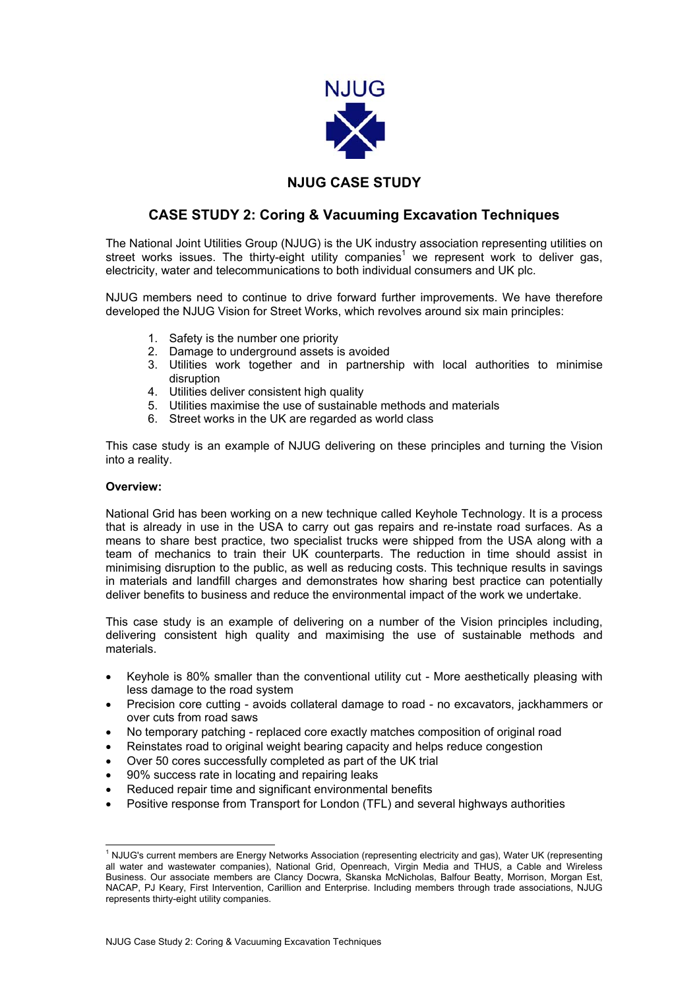

## **NJUG CASE STUDY**

## **CASE STUDY 2: Coring & Vacuuming Excavation Techniques**

The National Joint Utilities Group (NJUG) is the UK industry association representing utilities on street works issues. The thirty-eight utility companies<sup>[1](#page-0-0)</sup> we represent work to deliver gas, electricity, water and telecommunications to both individual consumers and UK plc.

NJUG members need to continue to drive forward further improvements. We have therefore developed the NJUG Vision for Street Works, which revolves around six main principles:

- 1. Safety is the number one priority
- 2. Damage to underground assets is avoided
- 3. Utilities work together and in partnership with local authorities to minimise disruption
- 4. Utilities deliver consistent high quality
- 5. Utilities maximise the use of sustainable methods and materials
- 6. Street works in the UK are regarded as world class

This case study is an example of NJUG delivering on these principles and turning the Vision into a reality.

### **Overview:**

National Grid has been working on a new technique called Keyhole Technology. It is a process that is already in use in the USA to carry out gas repairs and re-instate road surfaces. As a means to share best practice, two specialist trucks were shipped from the USA along with a team of mechanics to train their UK counterparts. The reduction in time should assist in minimising disruption to the public, as well as reducing costs. This technique results in savings in materials and landfill charges and demonstrates how sharing best practice can potentially deliver benefits to business and reduce the environmental impact of the work we undertake.

This case study is an example of delivering on a number of the Vision principles including, delivering consistent high quality and maximising the use of sustainable methods and materials.

- Keyhole is 80% smaller than the conventional utility cut More aesthetically pleasing with less damage to the road system
- Precision core cutting avoids collateral damage to road no excavators, jackhammers or over cuts from road saws
- No temporary patching replaced core exactly matches composition of original road
- Reinstates road to original weight bearing capacity and helps reduce congestion
- Over 50 cores successfully completed as part of the UK trial
- 90% success rate in locating and repairing leaks
- Reduced repair time and significant environmental benefits
- Positive response from Transport for London (TFL) and several highways authorities

<span id="page-0-0"></span> $\frac{1}{1}$ <sup>1</sup> NJUG's current members are Energy Networks Association (representing electricity and gas), Water UK (representing all water and wastewater companies), National Grid, Openreach, Virgin Media and THUS, a Cable and Wireless Business. Our associate members are Clancy Docwra, Skanska McNicholas, Balfour Beatty, Morrison, Morgan Est, NACAP, PJ Keary, First Intervention, Carillion and Enterprise. Including members through trade associations, NJUG represents thirty-eight utility companies.